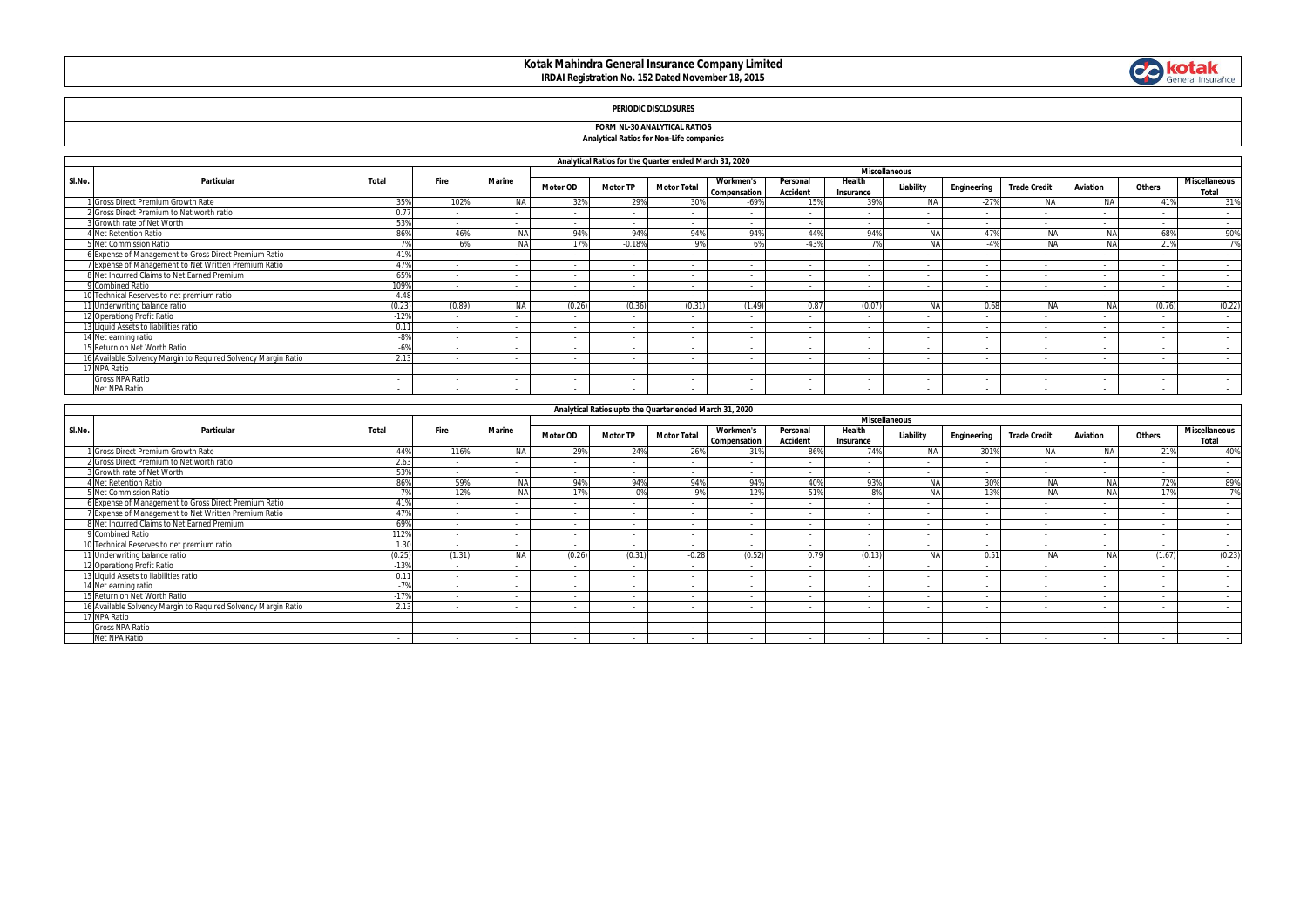# **Kotak Mahindra General Insurance Company Limited IRDAI Registration No. 152 Dated November 18, 2015**



## **PERIODIC DISCLOSURES**

## **FORM NL-30 ANALYTICAL RATIOS Analytical Ratios for Non-Life companies**

|        | Analytical Ratios for the Quarter ended March 31, 2020         |        |                          |               |                          |                 |                    |                                  |                             |                     |                          |                          |                          |                          |        |                                      |  |  |
|--------|----------------------------------------------------------------|--------|--------------------------|---------------|--------------------------|-----------------|--------------------|----------------------------------|-----------------------------|---------------------|--------------------------|--------------------------|--------------------------|--------------------------|--------|--------------------------------------|--|--|
|        |                                                                |        |                          |               |                          |                 |                    |                                  | <b>Miscellaneous</b>        |                     |                          |                          |                          |                          |        |                                      |  |  |
| SI.No. | Particular                                                     | Total  | Fire                     | <b>Marine</b> | <b>Motor OD</b>          | <b>Motor TP</b> | <b>Motor Total</b> | <b>Workmen's</b><br>Compensation | Personal<br><b>Accident</b> | Health<br>Insurance | Liability                | Engineering              | <b>Trade Credit</b>      | Aviation                 | Others | <b>Miscellaneous</b><br><b>Total</b> |  |  |
|        | 1 Gross Direct Premium Growth Rate                             | 359    | 102%                     | <b>NA</b>     | 32%                      | 29%             | 30%                | $-69%$                           | 15%                         | 39%                 | <b>NA</b>                | $-27%$                   | N/                       | <b>NA</b>                | 419    | 31%                                  |  |  |
|        | 2 Gross Direct Premium to Net worth ratio                      | 0.77   |                          |               |                          | $\sim$          |                    |                                  |                             |                     |                          |                          |                          |                          |        | $\sim$                               |  |  |
|        | 3 Growth rate of Net Worth                                     | 53%    |                          |               | $\sim$                   | $\sim$          | $\sim$             |                                  |                             |                     |                          | $\sim$                   | $\overline{a}$           | $\sim$                   |        | $\sim$                               |  |  |
|        | <b>Net Retention Ratio</b>                                     | 86%    | 46%                      | <b>NA</b>     | 94%                      | 94%             | 94%                | 94%                              | 44%                         | 94%                 | NΔ                       | 47%                      | <b>NA</b>                | <b>NA</b>                | 68%    | 90%                                  |  |  |
|        | 5 Net Commission Ratio                                         |        |                          | <b>NA</b>     | 17%                      | $-0.18%$        | 9%                 | 69                               | $-43%$                      |                     |                          |                          | NA                       | NA                       | 21%    | 7%                                   |  |  |
|        | 6 Expense of Management to Gross Direct Premium Ratio          | 419    |                          |               | $\sim$                   | $\sim$          | . .                |                                  | $\sim$                      |                     |                          | $\sim$                   | $\sim$                   |                          |        | $\sim$                               |  |  |
|        | 7 Expense of Management to Net Written Premium Ratio           | 47%    | . .                      |               |                          | $\sim$          | . .                |                                  |                             |                     |                          | $\sim$                   | $\overline{\phantom{a}}$ | $\overline{\phantom{a}}$ |        | $\sim$                               |  |  |
|        | 8 Net Incurred Claims to Net Earned Premium                    | 65%    |                          |               | $\sim$                   | $\sim$          |                    |                                  |                             |                     |                          |                          |                          | $\sim$                   |        | $\sim$                               |  |  |
|        | 9 Combined Ratio                                               | 1099   | $\overline{\phantom{a}}$ |               | $\sim$                   | $\sim$          |                    |                                  |                             |                     |                          | $\overline{a}$           | $\sim$                   |                          |        | $\sim$                               |  |  |
|        | 10 Technical Reserves to net premium ratio                     | 4.48   | $\sim$                   | $\sim$        |                          | $\sim$          | . .                |                                  |                             |                     | $\overline{\phantom{a}}$ | $\sim$                   | $\sim$                   | $\sim$                   |        | $\sim$                               |  |  |
|        | 11 Underwriting balance ratio                                  | (0.23) | (0.89)                   | <b>NA</b>     | (0.26)                   | (0.36)          | (0.31)             | (1.49)                           | 0.87                        | (0.07)              |                          | 0.68                     | NA                       | NA                       | (0.76) | (0.22)                               |  |  |
|        | 12 Operationg Profit Ratio                                     | $-12%$ |                          |               |                          | $\sim$          |                    |                                  |                             |                     |                          |                          | $\overline{\phantom{a}}$ |                          |        | $\sim$                               |  |  |
|        | 13 Liquid Assets to liabilities ratio                          | 0.11   | $\sim$                   | $\sim$        | $\sim$                   | $\sim$          |                    | $\sim$                           | $\sim$                      | $\sim$              | $\overline{\phantom{a}}$ | $\overline{\phantom{a}}$ | $\sim$                   |                          |        | $\sim$                               |  |  |
|        | 14 Net earning ratio                                           | $-8%$  |                          |               | - 1                      | $\sim$          |                    |                                  |                             |                     |                          |                          | $\overline{a}$           |                          |        | $\sim$                               |  |  |
|        | 15 Return on Net Worth Ratio                                   | $-6%$  |                          |               | $\overline{\phantom{a}}$ | $\sim$          |                    |                                  |                             |                     |                          | $\sim$                   | $\overline{\phantom{a}}$ |                          |        | $\sim$                               |  |  |
|        | 16 Available Solvency Margin to Required Solvency Margin Ratio | 2.13   |                          |               |                          | $\sim$          |                    |                                  |                             |                     |                          |                          |                          |                          |        | $\sim$                               |  |  |
|        | 17 NPA Ratio                                                   |        |                          |               |                          |                 |                    |                                  |                             |                     |                          |                          |                          |                          |        |                                      |  |  |
|        | <b>Gross NPA Ratio</b>                                         | $\sim$ | $\sim$                   | $\sim$        | $\sim$                   | $\sim$          | . .                | $\sim$                           |                             |                     | $\sim$                   | $\sim$                   | $\sim$                   | $\sim$                   | $\sim$ | $\sim$                               |  |  |
|        | Net NPA Ratio                                                  |        |                          |               |                          |                 |                    |                                  |                             |                     |                          |                          |                          |                          |        |                                      |  |  |

|        |                                                                |        |        |               |                      | Analytical Ratios upto the Quarter ended March 31, 2020 |                          |                                  |                             |                          |            |             |                     |           |        |                        |
|--------|----------------------------------------------------------------|--------|--------|---------------|----------------------|---------------------------------------------------------|--------------------------|----------------------------------|-----------------------------|--------------------------|------------|-------------|---------------------|-----------|--------|------------------------|
|        | Particular                                                     |        |        |               | <b>Miscellaneous</b> |                                                         |                          |                                  |                             |                          |            |             |                     |           |        |                        |
| SI.No. |                                                                | Total  | Fire   | <b>Marine</b> | <b>Motor OD</b>      | <b>Motor TP</b>                                         | <b>Motor Total</b>       | <b>Workmen's</b><br>Compensation | Personal<br><b>Accident</b> | Health<br>Insurance      | Liability  | Engineering | <b>Trade Credit</b> | Aviation  | Others | Miscellaneous<br>Total |
|        | 1 Gross Direct Premium Growth Rate                             | 44%    | 116%   | <b>NA</b>     | 29%                  | 24%                                                     | 26%                      | 31%                              | 86%                         | 74%                      | NA         | 301%        | <b>NA</b>           | NA.       | 21%    | 40%                    |
|        | 2 Gross Direct Premium to Net worth ratio                      | 2.63   |        |               | $\sim$               | $\overline{a}$                                          | $\sim$                   |                                  | $\sim$                      | $\overline{a}$           |            |             |                     |           |        | $\sim$                 |
|        | 3 Growth rate of Net Worth                                     | 539    | $\sim$ |               | $\sim$               | $\sim$                                                  | $\sim$                   |                                  | $\sim$                      | $\sim$                   | $\sim$     |             | $\sim$              | $\sim$    | $\sim$ | <b>Service</b>         |
|        | <b>Net Retention Ratio</b>                                     | 869    | 59%    | <b>NA</b>     | 94%                  | 94%                                                     | 94%                      | 94%                              | 40%                         | 93%                      | NA         | 30%         | NA                  | NA        | 72%    | 89%                    |
|        | 5 Net Commission Ratio                                         | 70     | 12%    | <b>NA</b>     | 17%                  | 0%                                                      | Q <sub>0</sub>           | 12%                              | $-51%$                      | 8%                       | <b>NA</b>  | 13%         | <b>NA</b>           | <b>NA</b> | 17%    | 7%                     |
|        | 6 Expense of Management to Gross Direct Premium Ratio          | 419    |        |               | $\sim$               | $\sim$                                                  | $\sim$                   |                                  | $\sim$                      |                          |            |             | $\sim$              |           |        | $\sim$                 |
|        | 7 Expense of Management to Net Written Premium Ratio           | 479    |        |               | $\sim$               | $\sim$                                                  | $\sim$                   |                                  | $\sim$                      |                          |            | $\sim$      |                     |           |        | $\sim$                 |
|        | 8 Net Incurred Claims to Net Earned Premium                    | 69%    |        |               | . .                  |                                                         |                          |                                  |                             |                          |            |             |                     |           |        |                        |
|        | 9 Combined Ratio                                               | 112%   | $\sim$ |               | $\overline{a}$       | $\sim$                                                  | $\sim$                   | $\overline{\phantom{a}}$         | $\sim$                      | $\sim$                   |            | $\sim$      | $\sim$              |           | $\sim$ | $\sim$                 |
|        | 10 Technical Reserves to net premium ratio                     | 1.30   |        |               | . п.                 | $\sim$                                                  | $\sim$                   |                                  | $\sim$                      |                          |            |             |                     |           |        |                        |
|        | 11 Underwriting balance ratio                                  | (0.25) | (1.31) | <b>NA</b>     | (0.26)               | (0.31)                                                  | $-0.28$                  | (0.52)                           | 0.79                        | (0.13)                   | <b>BIA</b> | 0.51        | <b>AIA</b>          | NA        | (1.67) | (0.23)                 |
|        | 12 Operationg Profit Ratio                                     | $-13%$ | $\sim$ |               | $\sim$               | $\sim$                                                  | $\sim$                   |                                  | $\sim$                      | $\sim$                   |            |             | $\sim$              |           |        | $\sim$                 |
|        | 13 Liquid Assets to liabilities ratio                          | 0.11   |        |               |                      |                                                         | $\sim$                   |                                  | $\sim$                      | $\sim$                   |            |             | $\sim$              |           | $\sim$ | $\sim$                 |
|        | 14 Net earning ratio                                           | $-7%$  | . .    |               | $\sim$               | $\sim$                                                  | $\sim$                   |                                  | $\sim$                      |                          |            |             |                     |           | $\sim$ | $\sim$                 |
|        | 15 Return on Net Worth Ratio                                   | $-17%$ | $\sim$ |               | $\sim$               |                                                         | $\overline{\phantom{a}}$ |                                  | $\sim$                      | $\sim$                   | $\sim$     | $\sim$      | $\sim$              |           | $\sim$ | $\sim$                 |
|        | 16 Available Solvency Margin to Reguired Solvency Margin Ratio | 2.13   |        |               |                      |                                                         | $\sim$                   |                                  |                             |                          |            |             |                     |           |        | $\sim$                 |
|        | 17 NPA Ratio                                                   |        |        |               |                      |                                                         |                          |                                  |                             |                          |            |             |                     |           |        |                        |
|        | <b>Gross NPA Ratio</b>                                         | $\sim$ | $\sim$ | $\sim$        | $\sim$               | $\sim$                                                  | $\sim$                   | . .                              | $\sim$                      | $\overline{\phantom{a}}$ | $\sim$     | $\sim$      | $\sim$              |           | $\sim$ | $\sim$                 |
|        | Net NPA Ratio                                                  | $\sim$ |        |               |                      |                                                         |                          |                                  |                             |                          |            |             |                     |           |        | $\sim$                 |